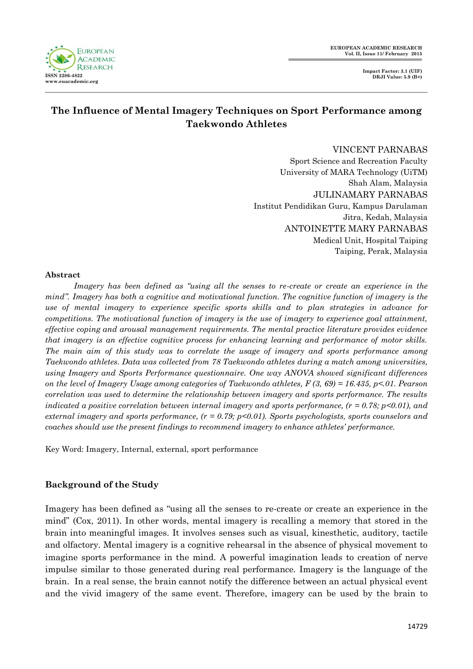**EUROPEAN ACADEMIC RESEARCH ISSN 2286-4822 www.euacademic.org**

# **The Influence of Mental Imagery Techniques on Sport Performance among Taekwondo Athletes**

VINCENT PARNABAS Sport Science and Recreation Faculty University of MARA Technology (UiTM) Shah Alam, Malaysia JULINAMARY PARNABAS Institut Pendidikan Guru, Kampus Darulaman Jitra, Kedah, Malaysia ANTOINETTE MARY PARNABAS Medical Unit, Hospital Taiping Taiping, Perak, Malaysia

### **Abstract**

*Imagery has been defined as "using all the senses to re-create or create an experience in the mind". Imagery has both a cognitive and motivational function. The cognitive function of imagery is the use of mental imagery to experience specific sports skills and to plan strategies in advance for competitions. The motivational function of imagery is the use of imagery to experience goal attainment, effective coping and arousal management requirements. The mental practice literature provides evidence that imagery is an effective cognitive process for enhancing learning and performance of motor skills. The main aim of this study was to correlate the usage of imagery and sports performance among Taekwondo athletes. Data was collected from 78 Taekwondo athletes during a match among universities, using Imagery and Sports Performance questionnaire. One way ANOVA showed significant differences on the level of Imagery Usage among categories of Taekwondo athletes, F (3, 69) = 16.435, p<.01. Pearson correlation was used to determine the relationship between imagery and sports performance. The results indicated a positive correlation between internal imagery and sports performance, (r = 0.78; p<0.01), and external imagery and sports performance, (r = 0.79; p<0.01). Sports psychologists, sports counselors and coaches should use the present findings to recommend imagery to enhance athletes' performance.* 

Key Word: Imagery, Internal, external, sport performance

### **Background of the Study**

Imagery has been defined as "using all the senses to re-create or create an experience in the mind" (Cox, 2011). In other words, mental imagery is recalling a memory that stored in the brain into meaningful images. It involves senses such as visual, kinesthetic, auditory, tactile and olfactory. Mental imagery is a cognitive rehearsal in the absence of physical movement to imagine sports performance in the mind. A powerful imagination leads to creation of nerve impulse similar to those generated during real performance. Imagery is the language of the brain. In a real sense, the brain cannot notify the difference between an actual physical event and the vivid imagery of the same event. Therefore, imagery can be used by the brain to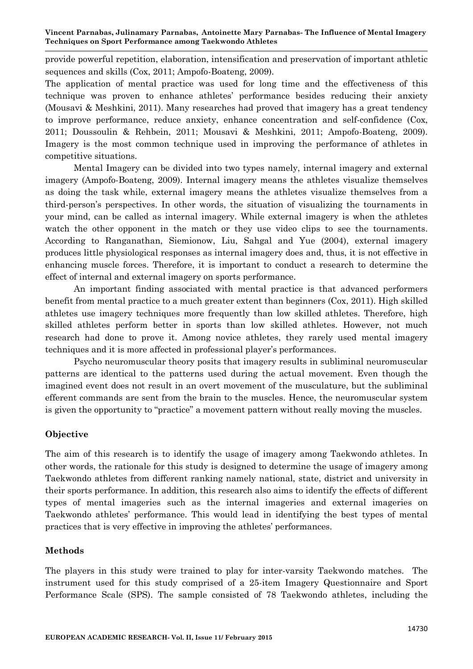provide powerful repetition, elaboration, intensification and preservation of important athletic sequences and skills (Cox, 2011; Ampofo-Boateng, 2009).

The application of mental practice was used for long time and the effectiveness of this technique was proven to enhance athletes' performance besides reducing their anxiety (Mousavi & Meshkini, 2011). Many researches had proved that imagery has a great tendency to improve performance, reduce anxiety, enhance concentration and self-confidence (Cox, 2011; Doussoulin & Rehbein, 2011; Mousavi & Meshkini, 2011; Ampofo-Boateng, 2009). Imagery is the most common technique used in improving the performance of athletes in competitive situations.

Mental Imagery can be divided into two types namely, internal imagery and external imagery (Ampofo-Boateng, 2009). Internal imagery means the athletes visualize themselves as doing the task while, external imagery means the athletes visualize themselves from a third-person's perspectives. In other words, the situation of visualizing the tournaments in your mind, can be called as internal imagery. While external imagery is when the athletes watch the other opponent in the match or they use video clips to see the tournaments. According to Ranganathan, Siemionow, Liu, Sahgal and Yue (2004), external imagery produces little physiological responses as internal imagery does and, thus, it is not effective in enhancing muscle forces. Therefore, it is important to conduct a research to determine the effect of internal and external imagery on sports performance.

An important finding associated with mental practice is that advanced performers benefit from mental practice to a much greater extent than beginners (Cox, 2011). High skilled athletes use imagery techniques more frequently than low skilled athletes. Therefore, high skilled athletes perform better in sports than low skilled athletes. However, not much research had done to prove it. Among novice athletes, they rarely used mental imagery techniques and it is more affected in professional player's performances.

Psycho neuromuscular theory posits that imagery results in subliminal neuromuscular patterns are identical to the patterns used during the actual movement. Even though the imagined event does not result in an overt movement of the musculature, but the subliminal efferent commands are sent from the brain to the muscles. Hence, the neuromuscular system is given the opportunity to "practice" a movement pattern without really moving the muscles.

# **Objective**

The aim of this research is to identify the usage of imagery among Taekwondo athletes. In other words, the rationale for this study is designed to determine the usage of imagery among Taekwondo athletes from different ranking namely national, state, district and university in their sports performance. In addition, this research also aims to identify the effects of different types of mental imageries such as the internal imageries and external imageries on Taekwondo athletes' performance. This would lead in identifying the best types of mental practices that is very effective in improving the athletes' performances.

### **Methods**

The players in this study were trained to play for inter-varsity Taekwondo matches. The instrument used for this study comprised of a 25-item Imagery Questionnaire and Sport Performance Scale (SPS). The sample consisted of 78 Taekwondo athletes, including the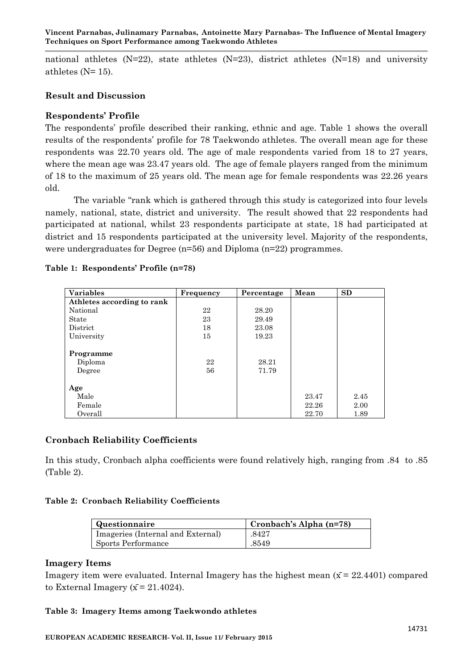national athletes  $(N=22)$ , state athletes  $(N=23)$ , district athletes  $(N=18)$  and university athletes  $(N=15)$ .

### **Result and Discussion**

# **Respondents' Profile**

The respondents' profile described their ranking, ethnic and age. Table 1 shows the overall results of the respondents' profile for 78 Taekwondo athletes. The overall mean age for these respondents was 22.70 years old. The age of male respondents varied from 18 to 27 years, where the mean age was 23.47 years old. The age of female players ranged from the minimum of 18 to the maximum of 25 years old. The mean age for female respondents was 22.26 years old.

The variable "rank which is gathered through this study is categorized into four levels namely, national, state, district and university. The result showed that 22 respondents had participated at national, whilst 23 respondents participate at state, 18 had participated at district and 15 respondents participated at the university level. Majority of the respondents, were undergraduates for Degree (n=56) and Diploma (n=22) programmes.

| <b>Variables</b>           | Frequency | Percentage | Mean  | <b>SD</b> |
|----------------------------|-----------|------------|-------|-----------|
| Athletes according to rank |           |            |       |           |
| National                   | 22        | 28.20      |       |           |
| State                      | 23        | 29.49      |       |           |
| District                   | 18        | 23.08      |       |           |
| University                 | 15        | 19.23      |       |           |
| Programme                  |           |            |       |           |
| Diploma                    | 22        | 28.21      |       |           |
| Degree                     | 56        | 71.79      |       |           |
| Age                        |           |            |       |           |
| Male                       |           |            | 23.47 | 2.45      |
| Female                     |           |            | 22.26 | 2.00      |
| Overall                    |           |            | 22.70 | 1.89      |

### **Table 1: Respondents' Profile (n=78)**

### **Cronbach Reliability Coefficients**

In this study, Cronbach alpha coefficients were found relatively high, ranging from .84 to .85 (Table 2).

### **Table 2: Cronbach Reliability Coefficients**

| Questionnaire                     | Cronbach's Alpha (n=78) |
|-----------------------------------|-------------------------|
| Imageries (Internal and External) | .8427                   |
| Sports Performance                | .8549                   |

### **Imagery Items**

Imagery item were evaluated. Internal Imagery has the highest mean  $(\bar{x} = 22.4401)$  compared to External Imagery ( $\bar{x}$  = 21.4024).

### **Table 3: Imagery Items among Taekwondo athletes**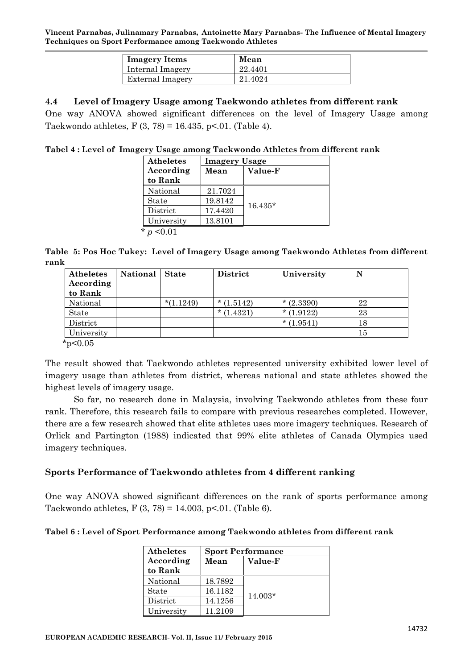**Vincent Parnabas, Julinamary Parnabas, Antoinette Mary Parnabas- The Influence of Mental Imagery Techniques on Sport Performance among Taekwondo Athletes**

| <b>Imagery Items</b>    | Mean    |
|-------------------------|---------|
| Internal Imagery        | 22.4401 |
| <b>External Imagery</b> | 21.4024 |

#### **4.4 Level of Imagery Usage among Taekwondo athletes from different rank**

One way ANOVA showed significant differences on the level of Imagery Usage among Taekwondo athletes, F  $(3, 78) = 16.435$ , p<.01. (Table 4).

#### **Tabel 4 : Level of Imagery Usage among Taekwondo Athletes from different rank**

| <b>Atheletes</b> | <b>Imagery Usage</b> |           |  |  |  |
|------------------|----------------------|-----------|--|--|--|
| According        | Mean                 | Value-F   |  |  |  |
| to Rank          |                      |           |  |  |  |
| National         | 21.7024              |           |  |  |  |
| State            | 19.8142              | $16.435*$ |  |  |  |
| District         | 17.4420              |           |  |  |  |
| University       | 13.8101              |           |  |  |  |
| k.<br>< 0.01     |                      |           |  |  |  |

**Table 5: Pos Hoc Tukey: Level of Imagery Usage among Taekwondo Athletes from different rank**

| Atheletes    | National | <b>State</b> | District    | University  | N  |
|--------------|----------|--------------|-------------|-------------|----|
| According    |          |              |             |             |    |
| to Rank      |          |              |             |             |    |
| National     |          | $*(1.1249)$  | $*(1.5142)$ | $*(2.3390)$ | 22 |
| State        |          |              | $*(1.4321)$ | $*(1.9122)$ | 23 |
| District     |          |              |             | $*(1.9541)$ | 18 |
| University   |          |              |             |             | 15 |
| $*_{p<0.05}$ |          |              |             |             |    |

The result showed that Taekwondo athletes represented university exhibited lower level of imagery usage than athletes from district, whereas national and state athletes showed the highest levels of imagery usage.

So far, no research done in Malaysia, involving Taekwondo athletes from these four rank. Therefore, this research fails to compare with previous researches completed. However, there are a few research showed that elite athletes uses more imagery techniques. Research of Orlick and Partington (1988) indicated that 99% elite athletes of Canada Olympics used imagery techniques.

### **Sports Performance of Taekwondo athletes from 4 different ranking**

One way ANOVA showed significant differences on the rank of sports performance among Taekwondo athletes, F  $(3, 78) = 14.003$ , p<.01. (Table 6).

#### **Tabel 6 : Level of Sport Performance among Taekwondo athletes from different rank**

| <b>Atheletes</b> | <b>Sport Performance</b> |                |  |  |  |  |
|------------------|--------------------------|----------------|--|--|--|--|
| According        | Mean                     | <b>Value-F</b> |  |  |  |  |
| to Rank          |                          |                |  |  |  |  |
| National         | 18.7892                  |                |  |  |  |  |
| State            | 16.1182                  | 14.003*        |  |  |  |  |
| District         | 14.1256                  |                |  |  |  |  |
| University       | 11.2109                  |                |  |  |  |  |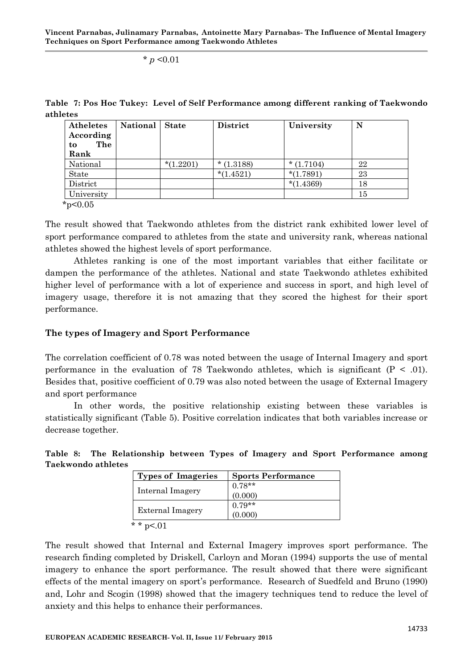# $*$   $p < 0.01$

| Atheletes<br>According<br>The<br>to<br>Rank | National | <b>State</b> | District    | University  | N  |
|---------------------------------------------|----------|--------------|-------------|-------------|----|
| National                                    |          | $*(1.2201)$  | $*(1.3188)$ | $*(1.7104)$ | 22 |
| State                                       |          |              | $*(1.4521)$ | $*(1.7891)$ | 23 |
| District                                    |          |              |             | $*(1.4369)$ | 18 |
| University                                  |          |              |             |             | 15 |

**Table 7: Pos Hoc Tukey: Level of Self Performance among different ranking of Taekwondo athletes**

\*p<0.05

The result showed that Taekwondo athletes from the district rank exhibited lower level of sport performance compared to athletes from the state and university rank, whereas national athletes showed the highest levels of sport performance.

Athletes ranking is one of the most important variables that either facilitate or dampen the performance of the athletes. National and state Taekwondo athletes exhibited higher level of performance with a lot of experience and success in sport, and high level of imagery usage, therefore it is not amazing that they scored the highest for their sport performance.

# **The types of Imagery and Sport Performance**

The correlation coefficient of 0.78 was noted between the usage of Internal Imagery and sport performance in the evaluation of 78 Taekwondo athletes, which is significant  $(P < .01)$ . Besides that, positive coefficient of 0.79 was also noted between the usage of External Imagery and sport performance

In other words, the positive relationship existing between these variables is statistically significant (Table 5). Positive correlation indicates that both variables increase or decrease together.

|                    |  |  |  |  | Table 8: The Relationship between Types of Imagery and Sport Performance among |  |
|--------------------|--|--|--|--|--------------------------------------------------------------------------------|--|
| Taekwondo athletes |  |  |  |  |                                                                                |  |
|                    |  |  |  |  |                                                                                |  |

| <b>Types of Imageries</b> | <b>Sports Performance</b> |
|---------------------------|---------------------------|
|                           | $0.78**$                  |
| Internal Imagery          | (0.000)                   |
| <b>External Imagery</b>   | $0.79**$                  |
|                           | (0.000)                   |
| * * p<.01                 |                           |

The result showed that Internal and External Imagery improves sport performance. The research finding completed by Driskell, Carloyn and Moran (1994) supports the use of mental imagery to enhance the sport performance. The result showed that there were significant effects of the mental imagery on sport's performance. Research of Suedfeld and Bruno (1990) and, Lohr and Scogin (1998) showed that the imagery techniques tend to reduce the level of anxiety and this helps to enhance their performances.